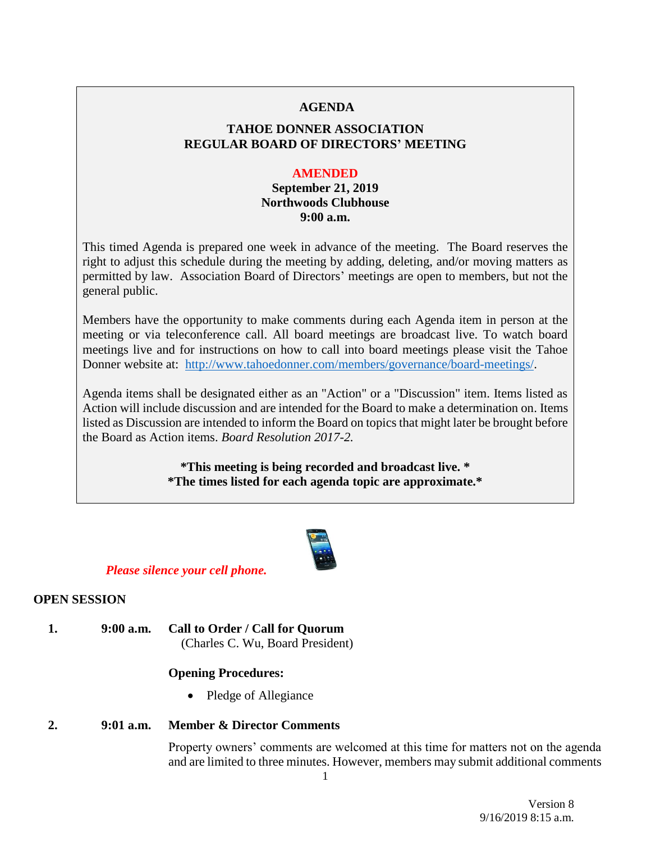#### **AGENDA**

# **TAHOE DONNER ASSOCIATION REGULAR BOARD OF DIRECTORS' MEETING**

#### **AMENDED**

# **September 21, 2019 Northwoods Clubhouse 9:00 a.m.**

This timed Agenda is prepared one week in advance of the meeting. The Board reserves the right to adjust this schedule during the meeting by adding, deleting, and/or moving matters as permitted by law. Association Board of Directors' meetings are open to members, but not the general public.

Members have the opportunity to make comments during each Agenda item in person at the meeting or via teleconference call. All board meetings are broadcast live. To watch board meetings live and for instructions on how to call into board meetings please visit the Tahoe Donner website at: [http://www.tahoedonner.com/members/governance/board-meetings/.](http://www.tahoedonner.com/members/governance/board-meetings/)

Agenda items shall be designated either as an "Action" or a "Discussion" item. Items listed as Action will include discussion and are intended for the Board to make a determination on. Items listed as Discussion are intended to inform the Board on topics that might later be brought before the Board as Action items. *Board Resolution 2017-2.*

> **\*This meeting is being recorded and broadcast live. \* \*The times listed for each agenda topic are approximate.\***



### *Please silence your cell phone.*

### **OPEN SESSION**

**1. 9:00 a.m. Call to Order / Call for Quorum** (Charles C. Wu, Board President)

### **Opening Procedures:**

• Pledge of Allegiance

### **2. 9:01 a.m. Member & Director Comments**

Property owners' comments are welcomed at this time for matters not on the agenda and are limited to three minutes. However, members may submit additional comments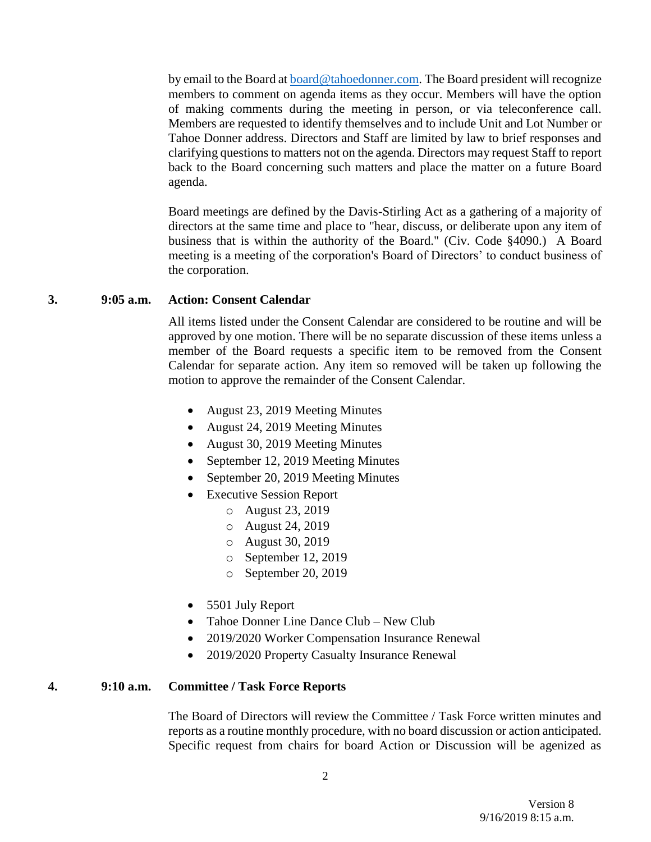by email to the Board at **board@tahoedonner.com**. The Board president will recognize members to comment on agenda items as they occur. Members will have the option of making comments during the meeting in person, or via teleconference call. Members are requested to identify themselves and to include Unit and Lot Number or Tahoe Donner address. Directors and Staff are limited by law to brief responses and clarifying questions to matters not on the agenda. Directors may request Staff to report back to the Board concerning such matters and place the matter on a future Board agenda.

Board meetings are defined by the Davis-Stirling Act as a gathering of a majority of directors at the same time and place to "hear, discuss, or deliberate upon any item of business that is within the authority of the Board." (Civ. Code §4090.) A Board meeting is a meeting of the corporation's Board of Directors' to conduct business of the corporation.

#### **3. 9:05 a.m. Action: Consent Calendar**

All items listed under the Consent Calendar are considered to be routine and will be approved by one motion. There will be no separate discussion of these items unless a member of the Board requests a specific item to be removed from the Consent Calendar for separate action. Any item so removed will be taken up following the motion to approve the remainder of the Consent Calendar.

- August 23, 2019 Meeting Minutes
- August 24, 2019 Meeting Minutes
- August 30, 2019 Meeting Minutes
- September 12, 2019 Meeting Minutes
- September 20, 2019 Meeting Minutes
- Executive Session Report
	- o August 23, 2019
	- o August 24, 2019
	- o August 30, 2019
	- o September 12, 2019
	- o September 20, 2019
- 5501 July Report
- Tahoe Donner Line Dance Club New Club
- 2019/2020 Worker Compensation Insurance Renewal
- 2019/2020 Property Casualty Insurance Renewal

#### **4. 9:10 a.m. Committee / Task Force Reports**

The Board of Directors will review the Committee / Task Force written minutes and reports as a routine monthly procedure, with no board discussion or action anticipated. Specific request from chairs for board Action or Discussion will be agenized as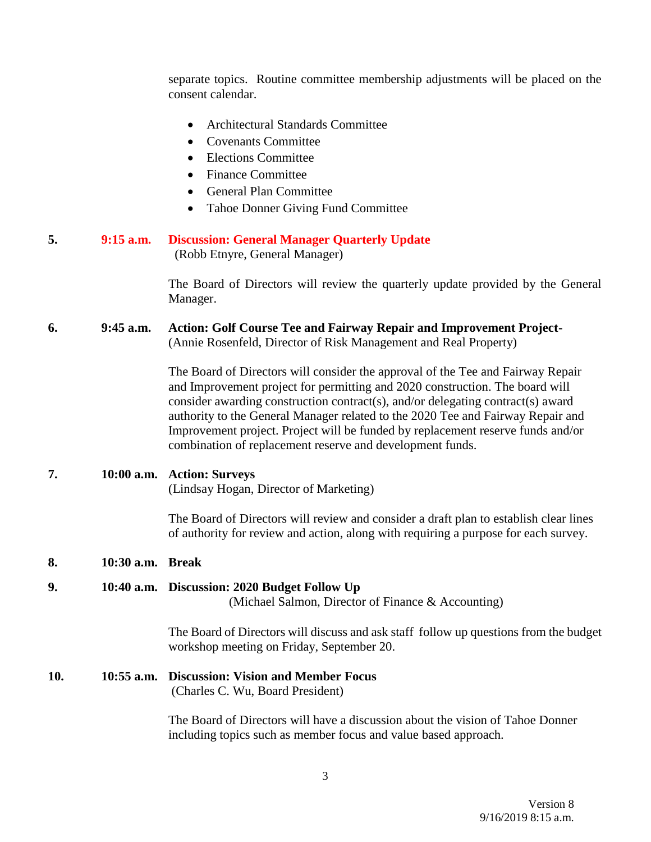separate topics. Routine committee membership adjustments will be placed on the consent calendar.

- Architectural Standards Committee
- Covenants Committee
- Elections Committee
- Finance Committee
- General Plan Committee
- Tahoe Donner Giving Fund Committee

#### **5. 9:15 a.m. Discussion: General Manager Quarterly Update** (Robb Etnyre, General Manager)

The Board of Directors will review the quarterly update provided by the General Manager.

### **6. 9:45 a.m. Action: Golf Course Tee and Fairway Repair and Improvement Project-** (Annie Rosenfeld, Director of Risk Management and Real Property)

The Board of Directors will consider the approval of the Tee and Fairway Repair and Improvement project for permitting and 2020 construction. The board will consider awarding construction contract(s), and/or delegating contract(s) award authority to the General Manager related to the 2020 Tee and Fairway Repair and Improvement project. Project will be funded by replacement reserve funds and/or combination of replacement reserve and development funds.

#### **7. 10:00 a.m. Action: Surveys**

(Lindsay Hogan, Director of Marketing)

The Board of Directors will review and consider a draft plan to establish clear lines of authority for review and action, along with requiring a purpose for each survey.

#### **8. 10:30 a.m. Break**

#### **9. 10:40 a.m. Discussion: 2020 Budget Follow Up**

(Michael Salmon, Director of Finance & Accounting)

The Board of Directors will discuss and ask staff follow up questions from the budget workshop meeting on Friday, September 20.

#### **10. 10:55 a.m. Discussion: Vision and Member Focus** (Charles C. Wu, Board President)

The Board of Directors will have a discussion about the vision of Tahoe Donner including topics such as member focus and value based approach.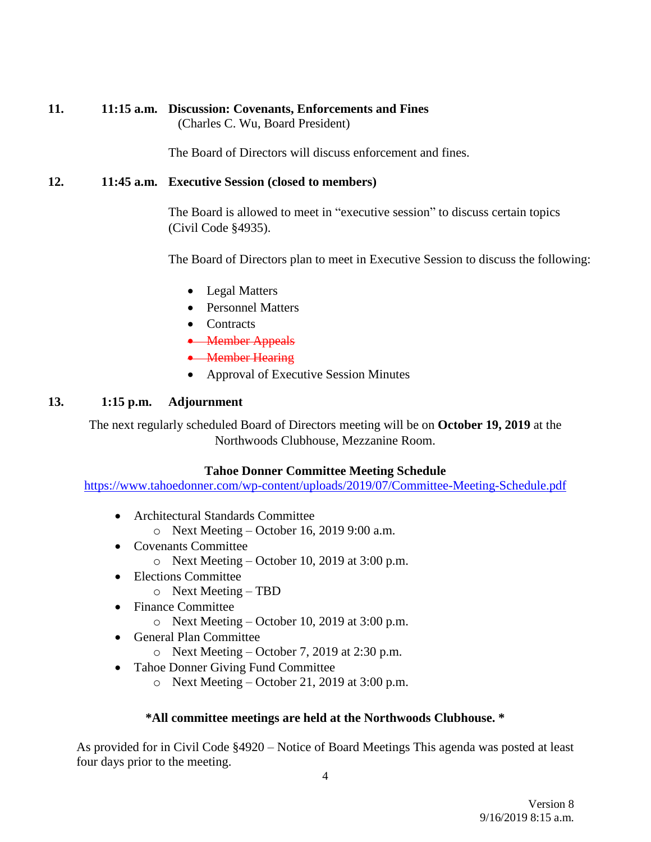## **11. 11:15 a.m. Discussion: Covenants, Enforcements and Fines** (Charles C. Wu, Board President)

The Board of Directors will discuss enforcement and fines.

# **12. 11:45 a.m. Executive Session (closed to members)**

The Board is allowed to meet in "executive session" to discuss certain topics (Civil Code §4935).

The Board of Directors plan to meet in Executive Session to discuss the following:

- Legal Matters
- Personnel Matters
- Contracts
- Member Appeals
- Member Hearing
- Approval of Executive Session Minutes

## **13. 1:15 p.m. Adjournment**

The next regularly scheduled Board of Directors meeting will be on **October 19, 2019** at the Northwoods Clubhouse, Mezzanine Room.

### **Tahoe Donner Committee Meeting Schedule**

<https://www.tahoedonner.com/wp-content/uploads/2019/07/Committee-Meeting-Schedule.pdf>

- Architectural Standards Committee
	- o Next Meeting October 16, 2019 9:00 a.m.
- Covenants Committee
	- o Next Meeting October 10, 2019 at 3:00 p.m.
- Elections Committee
	- o Next Meeting TBD
- Finance Committee
	- o Next Meeting October 10, 2019 at 3:00 p.m.
- General Plan Committee
	- o Next Meeting October 7, 2019 at 2:30 p.m.
- Tahoe Donner Giving Fund Committee
	- o Next Meeting October 21, 2019 at 3:00 p.m.

### **\*All committee meetings are held at the Northwoods Clubhouse. \***

As provided for in Civil Code §4920 – Notice of Board Meetings This agenda was posted at least four days prior to the meeting.